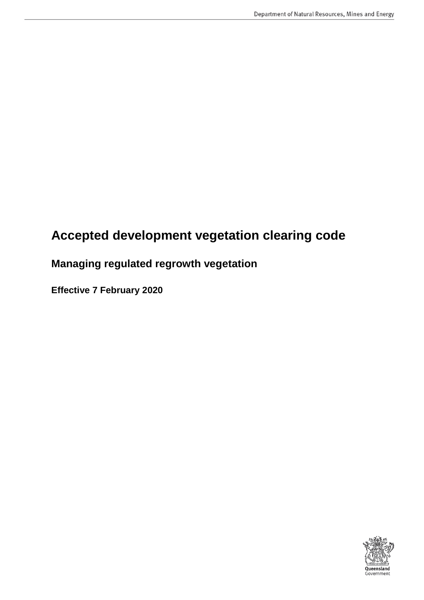# **Accepted development vegetation clearing code**

# **Managing regulated regrowth vegetation**

**Effective 7 February 2020**

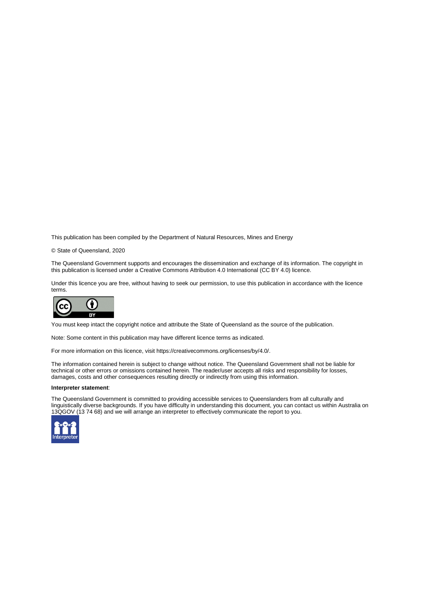This publication has been compiled by the Department of Natural Resources, Mines and Energy

© State of Queensland, 2020

The Queensland Government supports and encourages the dissemination and exchange of its information. The copyright in this publication is licensed under a Creative Commons Attribution 4.0 International (CC BY 4.0) licence.

Under this licence you are free, without having to seek our permission, to use this publication in accordance with the licence terms.



You must keep intact the copyright notice and attribute the State of Queensland as the source of the publication.

Note: Some content in this publication may have different licence terms as indicated.

For more information on this licence, visit https://creativecommons.org/licenses/by/4.0/.

The information contained herein is subject to change without notice. The Queensland Government shall not be liable for technical or other errors or omissions contained herein. The reader/user accepts all risks and responsibility for losses, damages, costs and other consequences resulting directly or indirectly from using this information.

#### **Interpreter statement**:

The Queensland Government is committed to providing accessible services to Queenslanders from all culturally and linguistically diverse backgrounds. If you have difficulty in understanding this document, you can contact us within Australia on 13QGOV (13 74 68) and we will arrange an interpreter to effectively communicate the report to you.

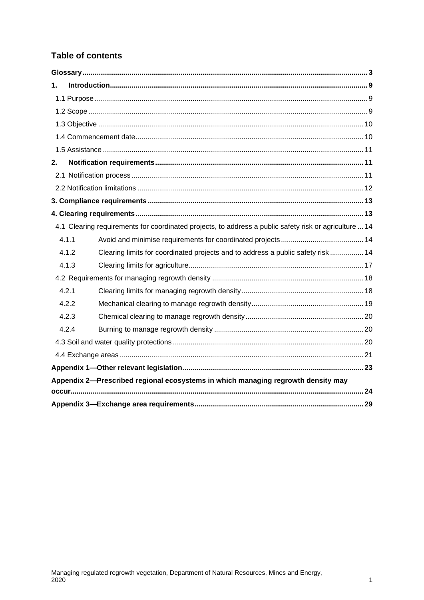## **Table of contents**

| 1. |                                                                                                        |  |
|----|--------------------------------------------------------------------------------------------------------|--|
|    |                                                                                                        |  |
|    |                                                                                                        |  |
|    |                                                                                                        |  |
|    |                                                                                                        |  |
|    |                                                                                                        |  |
| 2. |                                                                                                        |  |
|    |                                                                                                        |  |
|    |                                                                                                        |  |
|    |                                                                                                        |  |
|    |                                                                                                        |  |
|    | 4.1 Clearing requirements for coordinated projects, to address a public safety risk or agriculture  14 |  |
|    | 4.1.1                                                                                                  |  |
|    | Clearing limits for coordinated projects and to address a public safety risk  14<br>4.1.2              |  |
|    | 4.1.3                                                                                                  |  |
|    |                                                                                                        |  |
|    | 4.2.1                                                                                                  |  |
|    | 4.2.2                                                                                                  |  |
|    | 4.2.3                                                                                                  |  |
|    | 4.2.4                                                                                                  |  |
|    |                                                                                                        |  |
|    |                                                                                                        |  |
|    |                                                                                                        |  |
|    | Appendix 2-Prescribed regional ecosystems in which managing regrowth density may                       |  |
|    |                                                                                                        |  |
|    |                                                                                                        |  |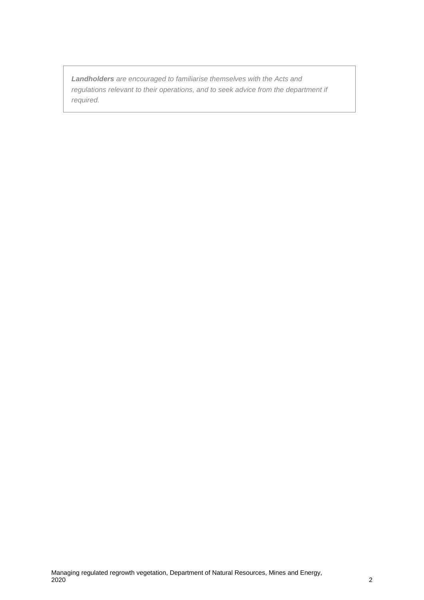*Landholders are encouraged to familiarise themselves with the Acts and regulations relevant to their operations, and to seek advice from the department if required.*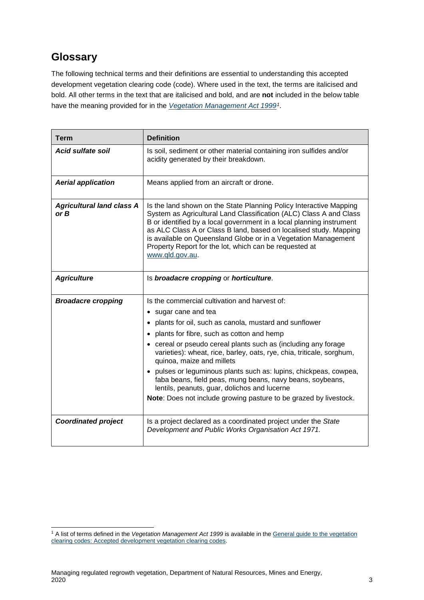## <span id="page-4-0"></span>**Glossary**

The following technical terms and their definitions are essential to understanding this accepted development vegetation clearing code (code). Where used in the text, the terms are italicised and bold. All other terms in the text that are italicised and bold, and are **not** included in the below table have the meaning provided for in the *[Vegetation Management Act 1999](https://www.legislation.qld.gov.au/browse/inforce)[1](#page-4-1)*.

| <b>Term</b>                              | <b>Definition</b>                                                                                                                                                                                                                                                                                                                                                                                                                                                                                                                                                                                              |
|------------------------------------------|----------------------------------------------------------------------------------------------------------------------------------------------------------------------------------------------------------------------------------------------------------------------------------------------------------------------------------------------------------------------------------------------------------------------------------------------------------------------------------------------------------------------------------------------------------------------------------------------------------------|
| Acid sulfate soil                        | Is soil, sediment or other material containing iron sulfides and/or<br>acidity generated by their breakdown.                                                                                                                                                                                                                                                                                                                                                                                                                                                                                                   |
| <b>Aerial application</b>                | Means applied from an aircraft or drone.                                                                                                                                                                                                                                                                                                                                                                                                                                                                                                                                                                       |
| <b>Agricultural land class A</b><br>or B | Is the land shown on the State Planning Policy Interactive Mapping<br>System as Agricultural Land Classification (ALC) Class A and Class<br>B or identified by a local government in a local planning instrument<br>as ALC Class A or Class B land, based on localised study. Mapping<br>is available on Queensland Globe or in a Vegetation Management<br>Property Report for the lot, which can be requested at<br>www.qld.gov.au.                                                                                                                                                                           |
| <b>Agriculture</b>                       | Is broadacre cropping or horticulture.                                                                                                                                                                                                                                                                                                                                                                                                                                                                                                                                                                         |
| <b>Broadacre cropping</b>                | Is the commercial cultivation and harvest of:<br>• sugar cane and tea<br>• plants for oil, such as canola, mustard and sunflower<br>• plants for fibre, such as cotton and hemp<br>• cereal or pseudo cereal plants such as (including any forage<br>varieties): wheat, rice, barley, oats, rye, chia, triticale, sorghum,<br>quinoa, maize and millets<br>• pulses or leguminous plants such as: lupins, chickpeas, cowpea,<br>faba beans, field peas, mung beans, navy beans, soybeans,<br>lentils, peanuts, guar, dolichos and lucerne<br>Note: Does not include growing pasture to be grazed by livestock. |
| <b>Coordinated project</b>               | Is a project declared as a coordinated project under the State<br>Development and Public Works Organisation Act 1971.                                                                                                                                                                                                                                                                                                                                                                                                                                                                                          |

<span id="page-4-1"></span> <sup>1</sup> A list of terms defined in the *Vegetation Management Act 1999* is available in the [General guide to the vegetation](https://www.qld.gov.au/environment/land/management/vegetation/codes)  [clearing codes: Accepted development vegetation clearing codes.](https://www.qld.gov.au/environment/land/management/vegetation/codes)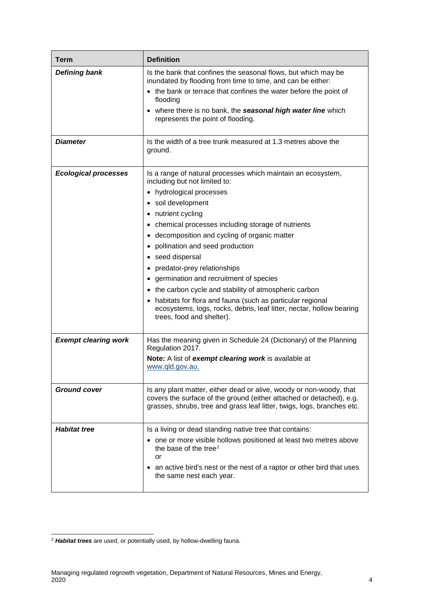| <b>Term</b>                 | <b>Definition</b>                                                                                                                                                                                                                                                                                                                                                                                                                                                                                                                                                                                                                               |
|-----------------------------|-------------------------------------------------------------------------------------------------------------------------------------------------------------------------------------------------------------------------------------------------------------------------------------------------------------------------------------------------------------------------------------------------------------------------------------------------------------------------------------------------------------------------------------------------------------------------------------------------------------------------------------------------|
| <b>Defining bank</b>        | Is the bank that confines the seasonal flows, but which may be<br>inundated by flooding from time to time, and can be either:<br>• the bank or terrace that confines the water before the point of<br>flooding<br>• where there is no bank, the seasonal high water line which<br>represents the point of flooding.                                                                                                                                                                                                                                                                                                                             |
| <b>Diameter</b>             | Is the width of a tree trunk measured at 1.3 metres above the<br>ground.                                                                                                                                                                                                                                                                                                                                                                                                                                                                                                                                                                        |
| <b>Ecological processes</b> | Is a range of natural processes which maintain an ecosystem,<br>including but not limited to:<br>• hydrological processes<br>· soil development<br>• nutrient cycling<br>• chemical processes including storage of nutrients<br>• decomposition and cycling of organic matter<br>pollination and seed production<br>• seed dispersal<br>• predator-prey relationships<br>• germination and recruitment of species<br>• the carbon cycle and stability of atmospheric carbon<br>• habitats for flora and fauna (such as particular regional<br>ecosystems, logs, rocks, debris, leaf litter, nectar, hollow bearing<br>trees, food and shelter). |
| <b>Exempt clearing work</b> | Has the meaning given in Schedule 24 (Dictionary) of the Planning<br>Regulation 2017.<br>Note: A list of exempt clearing work is available at<br>www.qld.gov.au.                                                                                                                                                                                                                                                                                                                                                                                                                                                                                |
| <b>Ground cover</b>         | Is any plant matter, either dead or alive, woody or non-woody, that<br>covers the surface of the ground (either attached or detached), e.g.<br>grasses, shrubs, tree and grass leaf litter, twigs, logs, branches etc.                                                                                                                                                                                                                                                                                                                                                                                                                          |
| <b>Habitat tree</b>         | Is a living or dead standing native tree that contains:<br>• one or more visible hollows positioned at least two metres above<br>the base of the tree <sup>2</sup><br>or<br>• an active bird's nest or the nest of a raptor or other bird that uses<br>the same nest each year.                                                                                                                                                                                                                                                                                                                                                                 |

<span id="page-5-0"></span> <sup>2</sup> *Habitat trees* are used, or potentially used, by hollow-dwelling fauna.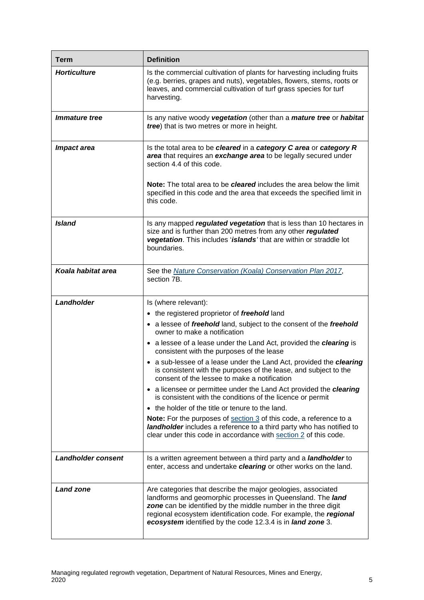| <b>Term</b>               | <b>Definition</b>                                                                                                                                                                                                                                                                                                                   |
|---------------------------|-------------------------------------------------------------------------------------------------------------------------------------------------------------------------------------------------------------------------------------------------------------------------------------------------------------------------------------|
| <b>Horticulture</b>       | Is the commercial cultivation of plants for harvesting including fruits<br>(e.g. berries, grapes and nuts), vegetables, flowers, stems, roots or<br>leaves, and commercial cultivation of turf grass species for turf<br>harvesting.                                                                                                |
| <i>Immature tree</i>      | Is any native woody vegetation (other than a <i>mature tree</i> or <i>habitat</i><br>tree) that is two metres or more in height.                                                                                                                                                                                                    |
| <b>Impact area</b>        | Is the total area to be cleared in a category C area or category R<br>area that requires an exchange area to be legally secured under<br>section 4.4 of this code.<br>Note: The total area to be cleared includes the area below the limit<br>specified in this code and the area that exceeds the specified limit in<br>this code. |
| <b>Island</b>             | Is any mapped <i>regulated vegetation</i> that is less than 10 hectares in<br>size and is further than 200 metres from any other regulated<br>vegetation. This includes 'islands' that are within or straddle lot<br>boundaries.                                                                                                    |
| Koala habitat area        | See the <b>Nature Conservation (Koala) Conservation Plan 2017</b> ,<br>section 7B.                                                                                                                                                                                                                                                  |
| Landholder                | Is (where relevant):                                                                                                                                                                                                                                                                                                                |
|                           | • the registered proprietor of freehold land                                                                                                                                                                                                                                                                                        |
|                           | • a lessee of freehold land, subject to the consent of the freehold<br>owner to make a notification                                                                                                                                                                                                                                 |
|                           | • a lessee of a lease under the Land Act, provided the clearing is<br>consistent with the purposes of the lease                                                                                                                                                                                                                     |
|                           | • a sub-lessee of a lease under the Land Act, provided the clearing<br>is consistent with the purposes of the lease, and subject to the<br>consent of the lessee to make a notification                                                                                                                                             |
|                           | • a licensee or permittee under the Land Act provided the clearing<br>is consistent with the conditions of the licence or permit                                                                                                                                                                                                    |
|                           | • the holder of the title or tenure to the land.                                                                                                                                                                                                                                                                                    |
|                           | Note: For the purposes of section 3 of this code, a reference to a<br><b>landholder</b> includes a reference to a third party who has notified to<br>clear under this code in accordance with section 2 of this code.                                                                                                               |
| <b>Landholder consent</b> | Is a written agreement between a third party and a <i>landholder</i> to<br>enter, access and undertake clearing or other works on the land.                                                                                                                                                                                         |
| <b>Land zone</b>          | Are categories that describe the major geologies, associated<br>landforms and geomorphic processes in Queensland. The land<br>zone can be identified by the middle number in the three digit<br>regional ecosystem identification code. For example, the regional<br>ecosystem identified by the code 12.3.4 is in land zone 3.     |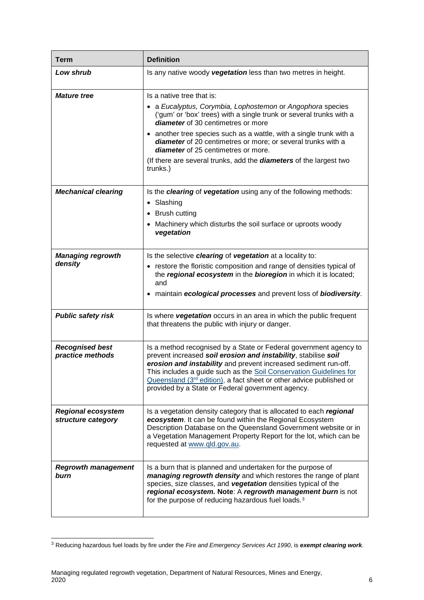| <b>Term</b>                                     | <b>Definition</b>                                                                                                                                                                                                                                                                                                                                                                                          |
|-------------------------------------------------|------------------------------------------------------------------------------------------------------------------------------------------------------------------------------------------------------------------------------------------------------------------------------------------------------------------------------------------------------------------------------------------------------------|
| Low shrub                                       | Is any native woody vegetation less than two metres in height.                                                                                                                                                                                                                                                                                                                                             |
| <i><b>Mature tree</b></i>                       | Is a native tree that is:<br>• a Eucalyptus, Corymbia, Lophostemon or Angophora species<br>('gum' or 'box' trees) with a single trunk or several trunks with a                                                                                                                                                                                                                                             |
|                                                 | diameter of 30 centimetres or more<br>• another tree species such as a wattle, with a single trunk with a                                                                                                                                                                                                                                                                                                  |
|                                                 | diameter of 20 centimetres or more; or several trunks with a<br>diameter of 25 centimetres or more.                                                                                                                                                                                                                                                                                                        |
|                                                 | (If there are several trunks, add the <b>diameters</b> of the largest two<br>trunks.)                                                                                                                                                                                                                                                                                                                      |
| <b>Mechanical clearing</b>                      | Is the clearing of vegetation using any of the following methods:<br>• Slashing                                                                                                                                                                                                                                                                                                                            |
|                                                 | • Brush cutting                                                                                                                                                                                                                                                                                                                                                                                            |
|                                                 | • Machinery which disturbs the soil surface or uproots woody<br>vegetation                                                                                                                                                                                                                                                                                                                                 |
| <b>Managing regrowth</b>                        | Is the selective clearing of vegetation at a locality to:                                                                                                                                                                                                                                                                                                                                                  |
| density                                         | • restore the floristic composition and range of densities typical of<br>the regional ecosystem in the bioregion in which it is located;<br>and                                                                                                                                                                                                                                                            |
|                                                 | • maintain ecological processes and prevent loss of biodiversity.                                                                                                                                                                                                                                                                                                                                          |
| <b>Public safety risk</b>                       | Is where vegetation occurs in an area in which the public frequent<br>that threatens the public with injury or danger.                                                                                                                                                                                                                                                                                     |
| <b>Recognised best</b><br>practice methods      | Is a method recognised by a State or Federal government agency to<br>prevent increased soil erosion and instability, stabilise soil<br>erosion and instability and prevent increased sediment run-off.<br>This includes a guide such as the Soil Conservation Guidelines for<br>Queensland $(3rd$ edition), a fact sheet or other advice published or<br>provided by a State or Federal government agency. |
| <b>Regional ecosystem</b><br>structure category | Is a vegetation density category that is allocated to each regional<br>ecosystem. It can be found within the Regional Ecosystem<br>Description Database on the Queensland Government website or in<br>a Vegetation Management Property Report for the lot, which can be<br>requested at www.qld.gov.au.                                                                                                    |
| <b>Regrowth management</b><br>burn              | Is a burn that is planned and undertaken for the purpose of<br>managing regrowth density and which restores the range of plant<br>species, size classes, and vegetation densities typical of the<br>regional ecosystem. Note: A regrowth management burn is not<br>for the purpose of reducing hazardous fuel loads. <sup>3</sup>                                                                          |

<span id="page-7-0"></span> <sup>3</sup> Reducing hazardous fuel loads by fire under the *Fire and Emergency Services Act 1990*, is *exempt clearing work*.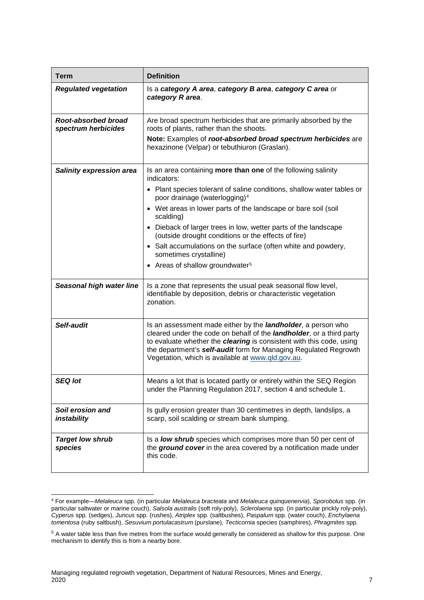| <b>Term</b>                                | <b>Definition</b>                                                                                                                                                                                                                                                                                                                                                                                                                                                                                                                                      |
|--------------------------------------------|--------------------------------------------------------------------------------------------------------------------------------------------------------------------------------------------------------------------------------------------------------------------------------------------------------------------------------------------------------------------------------------------------------------------------------------------------------------------------------------------------------------------------------------------------------|
| <b>Regulated vegetation</b>                | Is a category A area, category B area, category C area or<br>category R area.                                                                                                                                                                                                                                                                                                                                                                                                                                                                          |
| Root-absorbed broad<br>spectrum herbicides | Are broad spectrum herbicides that are primarily absorbed by the<br>roots of plants, rather than the shoots.<br>Note: Examples of root-absorbed broad spectrum herbicides are<br>hexazinone (Velpar) or tebuthiuron (Graslan).                                                                                                                                                                                                                                                                                                                         |
| <b>Salinity expression area</b>            | Is an area containing more than one of the following salinity<br>indicators:<br>• Plant species tolerant of saline conditions, shallow water tables or<br>poor drainage (waterlogging) <sup>4</sup><br>• Wet areas in lower parts of the landscape or bare soil (soil<br>scalding)<br>• Dieback of larger trees in low, wetter parts of the landscape<br>(outside drought conditions or the effects of fire)<br>• Salt accumulations on the surface (often white and powdery,<br>sometimes crystalline)<br>• Areas of shallow groundwater <sup>5</sup> |
| Seasonal high water line                   | Is a zone that represents the usual peak seasonal flow level,<br>identifiable by deposition, debris or characteristic vegetation<br>zonation.                                                                                                                                                                                                                                                                                                                                                                                                          |
| Self-audit                                 | Is an assessment made either by the <i>landholder</i> , a person who<br>cleared under the code on behalf of the <i>landholder</i> , or a third party<br>to evaluate whether the clearing is consistent with this code, using<br>the department's self-audit form for Managing Regulated Regrowth<br>Vegetation, which is available at www.qld.gov.au.                                                                                                                                                                                                  |
| <b>SEQ lot</b>                             | Means a lot that is located partly or entirely within the SEQ Region<br>under the Planning Regulation 2017, section 4 and schedule 1.                                                                                                                                                                                                                                                                                                                                                                                                                  |
| Soil erosion and<br>instability            | Is gully erosion greater than 30 centimetres in depth, landslips, a<br>scarp, soil scalding or stream bank slumping.                                                                                                                                                                                                                                                                                                                                                                                                                                   |
| <b>Target low shrub</b><br>species         | Is a <b>low shrub</b> species which comprises more than 50 per cent of<br>the ground cover in the area covered by a notification made under<br>this code.                                                                                                                                                                                                                                                                                                                                                                                              |

<span id="page-8-0"></span> <sup>4</sup> For example—*Melaleuca* spp*.* (in particular *Melaleuca bracteata* and *Melaleuca quinquenervia*), *Sporobolus* spp*.* (in particular saltwater or marine couch), *Salsola australis* (soft roly-poly), *Sclerolaena* spp*.* (in particular prickly roly-poly), *Cyperus* spp*.* (sedges), *Juncus* spp*.* (rushes), *Atriplex* spp*.* (saltbushes), *Paspalum* spp*.* (water couch), *Enchylaena tomentosa* (ruby saltbush), *Sesuvium portulacastrum* (purslane), *Tecticornia* species (samphires), *Phragmites* spp.

<span id="page-8-1"></span><sup>5</sup> A water table less than five metres from the surface would generally be considered as shallow for this purpose. One mechanism to identify this is from a nearby bore.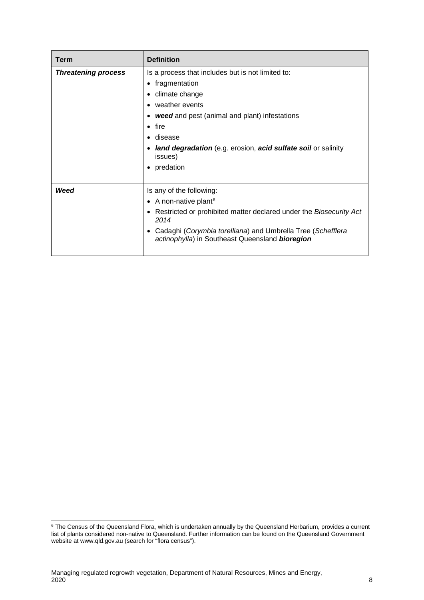| Term                       | <b>Definition</b>                                                                                                                                                                                                                                                                                                                             |
|----------------------------|-----------------------------------------------------------------------------------------------------------------------------------------------------------------------------------------------------------------------------------------------------------------------------------------------------------------------------------------------|
| <b>Threatening process</b> | Is a process that includes but is not limited to:<br>• fragmentation<br>climate change<br>$\bullet$<br>weather events<br>$\bullet$<br><b>weed</b> and pest (animal and plant) infestations<br>fire<br>$\bullet$<br>disease<br>$\bullet$<br>land degradation (e.g. erosion, acid sulfate soil or salinity<br>issues)<br>predation<br>$\bullet$ |
| Weed                       | Is any of the following:<br>• A non-native plant <sup>6</sup><br>• Restricted or prohibited matter declared under the Biosecurity Act<br>2014<br>Cadaghi (Corymbia torelliana) and Umbrella Tree (Schefflera<br>actinophylla) in Southeast Queensland bioregion                                                                               |

<span id="page-9-0"></span><sup>&</sup>lt;sup>6</sup> The Census of the Queensland Flora, which is undertaken annually by the Queensland Herbarium, provides a current list of plants considered non-native to Queensland. Further information can be found on the Queensland Government website a[t www.qld.gov.au](http://www.qld.gov.au/) (search for "flora census").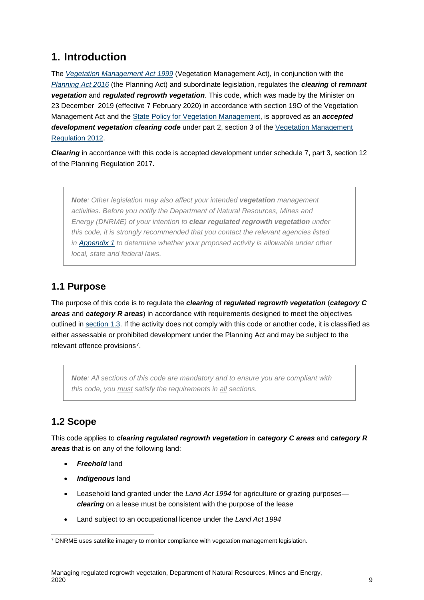## <span id="page-10-0"></span>**1. Introduction**

The *[Vegetation Management Act 1999](https://www.legislation.qld.gov.au/Acts_SLs/Acts_SL_V.htm)* (Vegetation Management Act), in conjunction with the *[Planning Act 2016](https://www.legislation.qld.gov.au/Acts_SLs/Acts_SL_S.htm)* (the Planning Act) and subordinate legislation, regulates the *clearing* of *remnant vegetation* and *regulated regrowth vegetation*. This code, which was made by the Minister on 23 December 2019 (effective 7 February 2020) in accordance with section 19O of the Vegetation Management Act and the [State Policy for Vegetation Management,](https://www.dnrm.qld.gov.au/__data/assets/pdf_file/0003/111765/state-policy-vegetation-management.pdf) is approved as an *accepted*  **development vegetation clearing code** under part 2, section 3 of the Vegetation Management [Regulation 2012.](https://www.legislation.qld.gov.au/Acts_SLs/Acts_SL_V.htm)

*Clearing* in accordance with this code is accepted development under schedule 7, part 3, section 12 of the Planning Regulation 2017.

*Note: Other legislation may also affect your intended vegetation management activities. Before you notify the Department of Natural Resources, Mines and Energy (DNRME) of your intention to clear regulated regrowth vegetation under this code, it is strongly recommended that you contact the relevant agencies listed in [Appendix 1](#page-24-0) to determine whether your proposed activity is allowable under other local, state and federal laws.*

## <span id="page-10-1"></span>**1.1 Purpose**

The purpose of this code is to regulate the *clearing* of *regulated regrowth vegetation* (*category C areas* and *category R areas*) in accordance with requirements designed to meet the objectives outlined in [section 1.3.](#page-11-0) If the activity does not comply with this code or another code, it is classified as either assessable or prohibited development under the Planning Act and may be subject to the relevant offence provisions[7](#page-10-3).

*Note: All sections of this code are mandatory and to ensure you are compliant with this code, you must satisfy the requirements in all sections.*

## <span id="page-10-2"></span>**1.2 Scope**

This code applies to *clearing regulated regrowth vegetation* in *category C areas* and *category R areas* that is on any of the following land:

- *Freehold* land
- *Indigenous* land
- Leasehold land granted under the *Land Act 1994* for agriculture or grazing purposes *clearing* on a lease must be consistent with the purpose of the lease
- Land subject to an occupational licence under the *Land Act 1994*

<span id="page-10-3"></span><sup>7</sup> DNRME uses satellite imagery to monitor compliance with vegetation management legislation.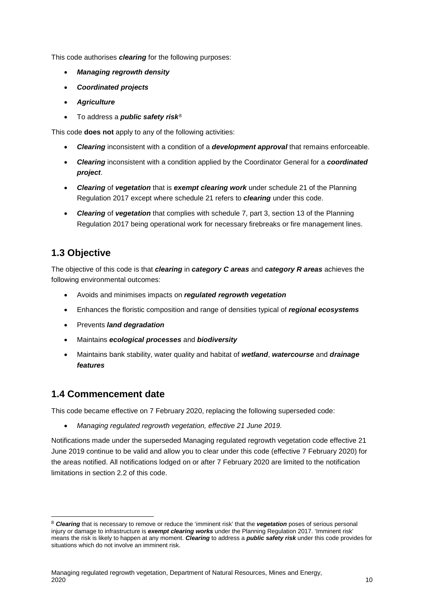This code authorises *clearing* for the following purposes:

- *Managing regrowth density*
- *Coordinated projects*
- *Agriculture*
- To address a *public safety risk*[8](#page-11-2)

This code **does not** apply to any of the following activities:

- *Clearing* inconsistent with a condition of a *development approval* that remains enforceable.
- *Clearing* inconsistent with a condition applied by the Coordinator General for a *coordinated project*.
- *Clearing* of *vegetation* that is *exempt clearing work* under schedule 21 of the Planning Regulation 2017 except where schedule 21 refers to *clearing* under this code.
- *Clearing* of *vegetation* that complies with schedule 7, part 3, section 13 of the Planning Regulation 2017 being operational work for necessary firebreaks or fire management lines.

## <span id="page-11-0"></span>**1.3 Objective**

The objective of this code is that *clearing* in *category C areas* and *category R areas* achieves the following environmental outcomes:

- Avoids and minimises impacts on *regulated regrowth vegetation*
- Enhances the floristic composition and range of densities typical of *regional ecosystems*
- Prevents *land degradation*
- Maintains *ecological processes* and *biodiversity*
- Maintains bank stability, water quality and habitat of *wetland*, *watercourse* and *drainage features*

## <span id="page-11-1"></span>**1.4 Commencement date**

This code became effective on 7 February 2020, replacing the following superseded code:

• *Managing regulated regrowth vegetation, effective 21 June 2019.*

Notifications made under the superseded Managing regulated regrowth vegetation code effective 21 June 2019 continue to be valid and allow you to clear under this code (effective 7 February 2020) for the areas notified. All notifications lodged on or after 7 February 2020 are limited to the notification limitations in section 2.2 of this code.

<span id="page-11-2"></span> <sup>8</sup> *Clearing* that is necessary to remove or reduce the 'imminent risk' that the *vegetation* poses of serious personal injury or damage to infrastructure is *exempt clearing works* under the Planning Regulation 2017. 'Imminent risk' means the risk is likely to happen at any moment. *Clearing* to address a *public safety risk* under this code provides for situations which do not involve an imminent risk.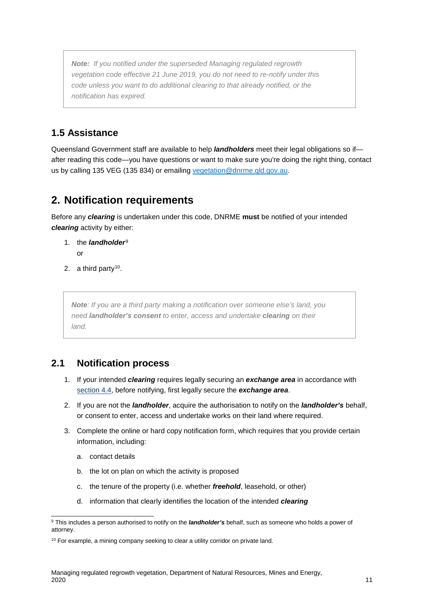*Note: If you notified under the superseded Managing regulated regrowth vegetation code effective 21 June 2019, you do not need to re-notify under this code unless you want to do additional clearing to that already notified, or the notification has expired.*

## <span id="page-12-0"></span>**1.5 Assistance**

Queensland Government staff are available to help *landholders* meet their legal obligations so if after reading this code—you have questions or want to make sure you're doing the right thing, contact us by calling 135 VEG (135 834) or emailing [vegetation@dnrme.qld.gov.au.](mailto:vegetation@dnrme.qld.gov.au)

## <span id="page-12-1"></span>**2. Notification requirements**

Before any *clearing* is undertaken under this code, DNRME **must** be notified of your intended *clearing* activity by either:

- 1. the *landholder*[9](#page-12-3) or
- 2. a third party<sup>10</sup>.

*Note: If you are a third party making a notification over someone else's land, you need landholder's consent to enter, access and undertake clearing on their land.*

## <span id="page-12-2"></span>**2.1 Notification process**

- 1. If your intended *clearing* requires legally securing an *exchange area* in accordance with [section 4.4,](#page-22-0) before notifying, first legally secure the *exchange area*.
- 2. If you are not the *landholder*, acquire the authorisation to notify on the *landholder's* behalf, or consent to enter, access and undertake works on their land where required.
- 3. Complete the online or hard copy notification form, which requires that you provide certain information, including:
	- a. contact details
	- b. the lot on plan on which the activity is proposed
	- c. the tenure of the property (i.e. whether *freehold*, leasehold, or other)
	- d. information that clearly identifies the location of the intended *clearing*

<span id="page-12-3"></span><sup>&</sup>lt;sup>9</sup> This includes a person authorised to notify on the *landholder's* behalf, such as someone who holds a power of attorney.

<span id="page-12-4"></span><sup>&</sup>lt;sup>10</sup> For example, a mining company seeking to clear a utility corridor on private land.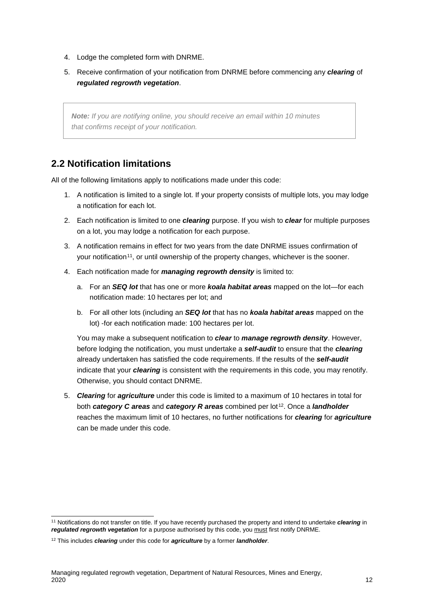- 4. Lodge the completed form with DNRME.
- 5. Receive confirmation of your notification from DNRME before commencing any *clearing* of *regulated regrowth vegetation*.

*Note: If you are notifying online, you should receive an email within 10 minutes that confirms receipt of your notification.* 

## <span id="page-13-0"></span>**2.2 Notification limitations**

All of the following limitations apply to notifications made under this code:

- 1. A notification is limited to a single lot. If your property consists of multiple lots, you may lodge a notification for each lot.
- 2. Each notification is limited to one *clearing* purpose. If you wish to *clear* for multiple purposes on a lot, you may lodge a notification for each purpose.
- 3. A notification remains in effect for two years from the date DNRME issues confirmation of your notification<sup>11</sup>, or until ownership of the property changes, whichever is the sooner.
- 4. Each notification made for *managing regrowth density* is limited to:
	- a. For an *SEQ lot* that has one or more *koala habitat areas* mapped on the lot—for each notification made: 10 hectares per lot; and
	- b. For all other lots (including an *SEQ lot* that has no *koala habitat areas* mapped on the lot) -for each notification made: 100 hectares per lot.

You may make a subsequent notification to *clear* to *manage regrowth density*. However, before lodging the notification, you must undertake a *self-audit* to ensure that the *clearing* already undertaken has satisfied the code requirements. If the results of the *self-audit* indicate that your *clearing* is consistent with the requirements in this code, you may renotify. Otherwise, you should contact DNRME.

5. *Clearing* for *agriculture* under this code is limited to a maximum of 10 hectares in total for both *category C areas* and *category R areas* combined per lot<sup>[12](#page-13-2)</sup>. Once a *landholder* reaches the maximum limit of 10 hectares, no further notifications for *clearing* for *agriculture* can be made under this code.

<span id="page-13-1"></span> <sup>11</sup> Notifications do not transfer on title. If you have recently purchased the property and intend to undertake *clearing* in *regulated regrowth vegetation* for a purpose authorised by this code, you must first notify DNRME.

<span id="page-13-2"></span><sup>12</sup> This includes *clearing* under this code for *agriculture* by a former *landholder*.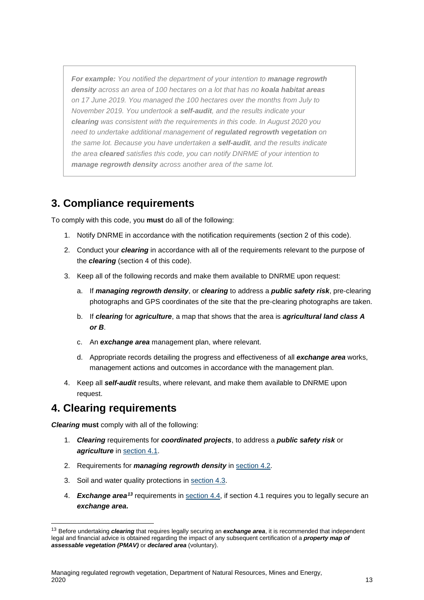*For example: You notified the department of your intention to manage regrowth density across an area of 100 hectares on a lot that has no koala habitat areas on 17 June 2019. You managed the 100 hectares over the months from July to November 2019. You undertook a self-audit, and the results indicate your clearing was consistent with the requirements in this code. In August 2020 you need to undertake additional management of regulated regrowth vegetation on the same lot. Because you have undertaken a self-audit, and the results indicate the area cleared satisfies this code, you can notify DNRME of your intention to manage regrowth density across another area of the same lot.*

## <span id="page-14-2"></span><span id="page-14-0"></span>**3. Compliance requirements**

To comply with this code, you **must** do all of the following:

- 1. Notify DNRME in accordance with the notification requirements [\(section 2](#page-12-1) of this code).
- 2. Conduct your *clearing* in accordance with all of the requirements relevant to the purpose of the *clearing* (section 4 of this code).
- 3. Keep all of the following records and make them available to DNRME upon request:
	- a. If *managing regrowth density*, or *clearing* to address a *public safety risk*, pre-clearing photographs and GPS coordinates of the site that the pre-clearing photographs are taken.
	- b. If *clearing* for *agriculture*, a map that shows that the area is *agricultural land class A or B*.
	- c. An *exchange area* management plan, where relevant.
	- d. Appropriate records detailing the progress and effectiveness of all *exchange area* works, management actions and outcomes in accordance with the management plan.
- 4. Keep all *self-audit* results, where relevant, and make them available to DNRME upon request.

## <span id="page-14-1"></span>**4. Clearing requirements**

*Clearing* **must** comply with all of the following:

- 1. *Clearing* requirements for *coordinated projects*, to address a *public safety risk* or **agriculture** in [section 4.1.](#page-15-0)
- 2. Requirements for *managing regrowth density* in [section 4.2.](#page-18-1)
- 3. Soil and water quality protections in [section 4.3.](#page-21-3)
- 4. *Exchange area[13](#page-14-3)* requirements in section 4.4, if section 4.1 requires you to legally secure an *exchange area***.**

<span id="page-14-3"></span> <sup>13</sup> Before undertaking *clearing* that requires legally securing an *exchange area*, it is recommended that independent legal and financial advice is obtained regarding the impact of any subsequent certification of a *property map of assessable vegetation (PMAV)* or *declared area* (voluntary).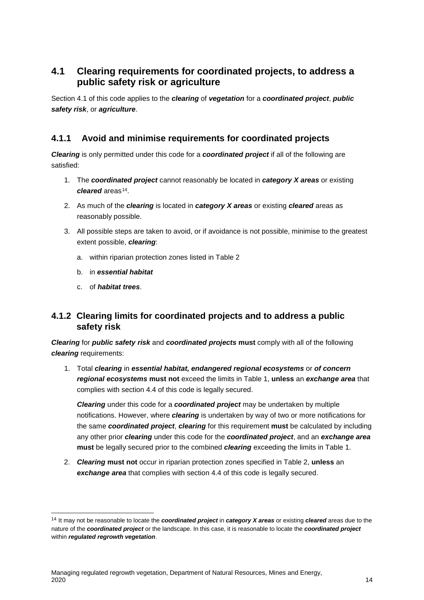## <span id="page-15-0"></span>**4.1 Clearing requirements for coordinated projects, to address a public safety risk or agriculture**

Section 4.1 of this code applies to the *clearing* of *vegetation* for a *coordinated project*, *public safety risk*, or *agriculture*.

### <span id="page-15-1"></span>**4.1.1 Avoid and minimise requirements for coordinated projects**

*Clearing* is only permitted under this code for a *coordinated project* if all of the following are satisfied:

- 1. The *coordinated project* cannot reasonably be located in *category X areas* or existing *cleared* areas<sup>14</sup>.
- 2. As much of the *clearing* is located in *category X areas* or existing *cleared* areas as reasonably possible.
- 3. All possible steps are taken to avoid, or if avoidance is not possible, minimise to the greatest extent possible, *clearing*:
	- a. within riparian protection zones listed in Table 2
	- b. in *essential habitat*
	- c. of *habitat trees*.

### <span id="page-15-2"></span>**4.1.2 Clearing limits for coordinated projects and to address a public safety risk**

*Clearing* for *public safety risk* and *coordinated projects* **must** comply with all of the following *clearing* requirements:

1. Total *clearing* in *essential habitat, endangered regional ecosystems* or *of concern regional ecosystems* **must not** exceed the limits in Table 1, **unless** an *exchange area* that complies with section 4.4 of this code is legally secured.

*Clearing* under this code for a *coordinated project* may be undertaken by multiple notifications. However, where *clearing* is undertaken by way of two or more notifications for the same *coordinated project*, *clearing* for this requirement **must** be calculated by including any other prior *clearing* under this code for the *coordinated project*, and an *exchange area* **must** be legally secured prior to the combined *clearing* exceeding the limits in Table 1.

2. *Clearing* **must not** occur in riparian protection zones specified in Table 2, **unless** an *exchange area* that complies with section 4.4 of this code is legally secured.

<span id="page-15-3"></span> <sup>14</sup> It may not be reasonable to locate the *coordinated project* in *category X areas* or existing *cleared* areas due to the nature of the *coordinated project* or the landscape. In this case, it is reasonable to locate the *coordinated project* within *regulated regrowth vegetation*.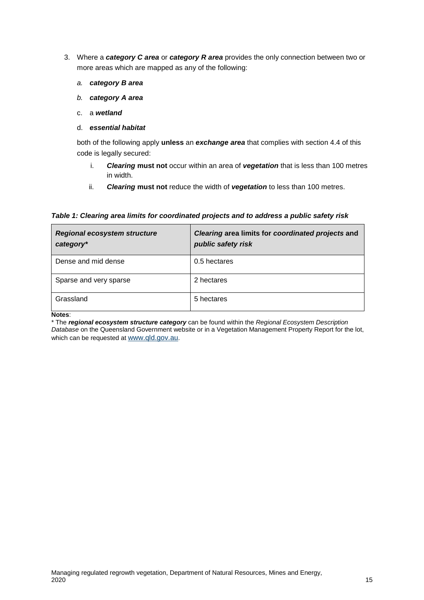- 3. Where a *category C area* or *category R area* provides the only connection between two or more areas which are mapped as any of the following:
	- *a. category B area*
	- *b. category A area*
	- c. a *wetland*

#### d. *essential habitat*

both of the following apply **unless** an *exchange area* that complies with section 4.4 of this code is legally secured:

- i. *Clearing* **must not** occur within an area of *vegetation* that is less than 100 metres in width.
- ii. *Clearing* **must not** reduce the width of *vegetation* to less than 100 metres.

*Table 1: Clearing area limits for coordinated projects and to address a public safety risk*

| <b>Regional ecosystem structure</b><br>category* | Clearing area limits for coordinated projects and<br>public safety risk |
|--------------------------------------------------|-------------------------------------------------------------------------|
| Dense and mid dense                              | 0.5 hectares                                                            |
| Sparse and very sparse                           | 2 hectares                                                              |
| Grassland                                        | 5 hectares                                                              |

**Notes**:

\* The *regional ecosystem structure category* can be found within the *Regional Ecosystem Description Database* on the Queensland Government website or in a Vegetation Management Property Report for the lot, which can be requested a[t www.qld.gov.au.](https://www.qld.gov.au/environment/land/vegetation/map-request)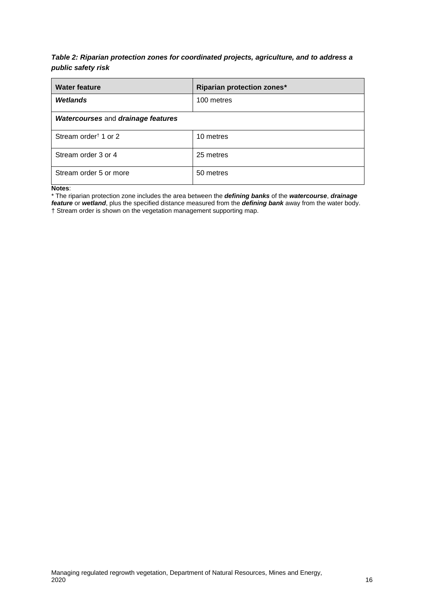#### *Table 2: Riparian protection zones for coordinated projects, agriculture, and to address a public safety risk*

| <b>Water feature</b>                      | <b>Riparian protection zones*</b> |
|-------------------------------------------|-----------------------------------|
| Wetlands                                  | 100 metres                        |
| <b>Watercourses and drainage features</b> |                                   |
| Stream order <sup>†</sup> 1 or 2          | 10 metres                         |
| Stream order 3 or 4                       | 25 metres                         |
| Stream order 5 or more                    | 50 metres                         |

**Notes**:

\* The riparian protection zone includes the area between the *defining banks* of the *watercourse*, *drainage feature* or *wetland*, plus the specified distance measured from the *defining bank* away from the water body. † Stream order is shown on the vegetation management supporting map.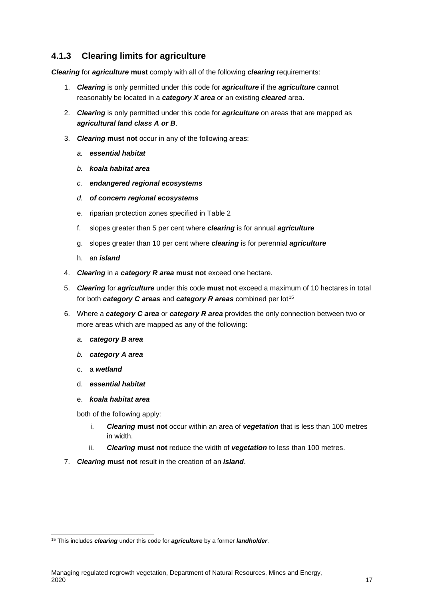### <span id="page-18-0"></span>**4.1.3 Clearing limits for agriculture**

*Clearing* for *agriculture* **must** comply with all of the following *clearing* requirements:

- 1. *Clearing* is only permitted under this code for *agriculture* if the *agriculture* cannot reasonably be located in a *category X area* or an existing *cleared* area.
- 2. *Clearing* is only permitted under this code for *agriculture* on areas that are mapped as *agricultural land class A or B*.
- 3. *Clearing* **must not** occur in any of the following areas:
	- *a. essential habitat*
	- *b. koala habitat area*
	- *c. endangered regional ecosystems*
	- *d. of concern regional ecosystems*
	- e. riparian protection zones specified in Table 2
	- f. slopes greater than 5 per cent where *clearing* is for annual *agriculture*
	- g. slopes greater than 10 per cent where *clearing* is for perennial *agriculture*
	- h. an *island*
- 4. *Clearing* in a *category R area* **must not** exceed one hectare.
- 5. *Clearing* for *agriculture* under this code **must not** exceed a maximum of 10 hectares in total for both *category C areas* and *category R areas* combined per lot<sup>[15](#page-18-2)</sup>
- 6. Where a *category C area* or *category R area* provides the only connection between two or more areas which are mapped as any of the following:
	- *a. category B area*
	- *b. category A area*
	- c. a *wetland*
	- d. *essential habitat*

#### e. *koala habitat area*

both of the following apply:

- i. *Clearing* **must not** occur within an area of *vegetation* that is less than 100 metres in width.
- ii. *Clearing* **must not** reduce the width of *vegetation* to less than 100 metres.
- <span id="page-18-1"></span>7. *Clearing* **must not** result in the creation of an *island*.

<span id="page-18-2"></span> <sup>15</sup> This includes *clearing* under this code for *agriculture* by a former *landholder*.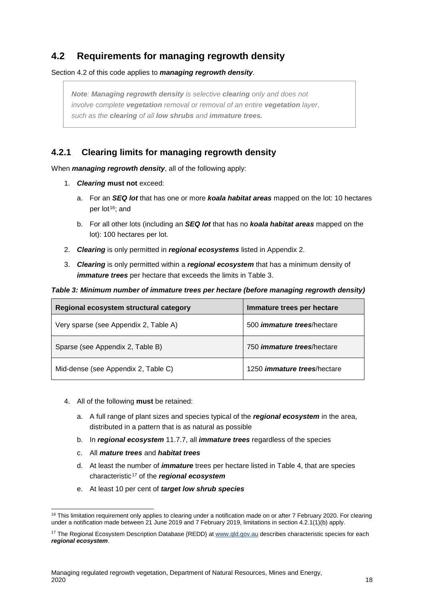## <span id="page-19-0"></span>**4.2 Requirements for managing regrowth density**

Section 4.2 of this code applies to *managing regrowth density*.

*Note: Managing regrowth density is selective clearing only and does not involve complete vegetation removal or removal of an entire vegetation layer*, *such as the clearing of all low shrubs and immature trees.* 

### <span id="page-19-1"></span>**4.2.1 Clearing limits for managing regrowth density**

When *managing regrowth density*, all of the following apply:

- 1. *Clearing* **must not** exceed:
	- a. For an *SEQ lot* that has one or more *koala habitat areas* mapped on the lot: 10 hectares per lot<sup>16</sup>; and
	- b. For all other lots (including an *SEQ lot* that has no *koala habitat areas* mapped on the lot): 100 hectares per lot.
- 2. *Clearing* is only permitted in *regional ecosystems* listed in Appendix 2.
- 3. *Clearing* is only permitted within a *regional ecosystem* that has a minimum density of *immature trees* per hectare that exceeds the limits in Table 3.

*Table 3: Minimum number of immature trees per hectare (before managing regrowth density)* 

| Regional ecosystem structural category | Immature trees per hectare          |
|----------------------------------------|-------------------------------------|
| Very sparse (see Appendix 2, Table A)  | 500 <i>immature trees</i> /hectare  |
| Sparse (see Appendix 2, Table B)       | 750 <i>immature trees</i> /hectare  |
| Mid-dense (see Appendix 2, Table C)    | 1250 <i>immature trees</i> /hectare |

- 4. All of the following **must** be retained:
	- a. A full range of plant sizes and species typical of the *regional ecosystem* in the area, distributed in a pattern that is as natural as possible
	- b. In *regional ecosystem* 11.7.7, all *immature trees* regardless of the species
	- c. All *mature trees* and *habitat trees*
	- d. At least the number of *immature* trees per hectare listed in Table 4, that are species characteristic[17](#page-19-3) of the *regional ecosystem*
	- e. At least 10 per cent of *target low shrub species*

<span id="page-19-2"></span><sup>&</sup>lt;sup>16</sup> This limitation requirement only applies to clearing under a notification made on or after 7 February 2020. For clearing under a notification made between 21 June 2019 and 7 February 2019, limitations in section 4.2.1(1)(b) apply.

<span id="page-19-3"></span><sup>&</sup>lt;sup>17</sup> The Regional Ecosystem Description Database {REDD} a[t www.qld.gov.au](http://www.qld.gov.au/) describes characteristic species for each *regional ecosystem*.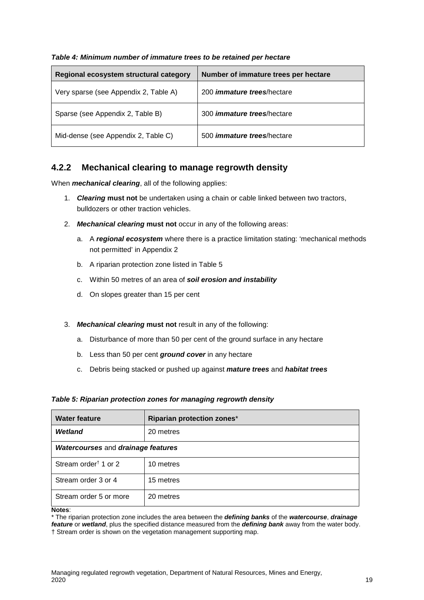| Regional ecosystem structural category | Number of immature trees per hectare |
|----------------------------------------|--------------------------------------|
| Very sparse (see Appendix 2, Table A)  | 200 <i>immature trees</i> /hectare   |
| Sparse (see Appendix 2, Table B)       | 300 <i>immature trees</i> /hectare   |
| Mid-dense (see Appendix 2, Table C)    | 500 <i>immature trees</i> /hectare   |

#### *Table 4: Minimum number of immature trees to be retained per hectare*

### <span id="page-20-0"></span>**4.2.2 Mechanical clearing to manage regrowth density**

When *mechanical clearing*, all of the following applies:

- 1. *Clearing* **must not** be undertaken using a chain or cable linked between two tractors, bulldozers or other traction vehicles.
- 2. *Mechanical clearing* **must not** occur in any of the following areas:
	- a. A *regional ecosystem* where there is a practice limitation stating: 'mechanical methods not permitted' in Appendix 2
	- b. A riparian protection zone listed in Table 5
	- c. Within 50 metres of an area of *soil erosion and instability*
	- d. On slopes greater than 15 per cent
- 3. *Mechanical clearing* **must not** result in any of the following:
	- a. Disturbance of more than 50 per cent of the ground surface in any hectare
	- b. Less than 50 per cent *ground cover* in any hectare
	- c. Debris being stacked or pushed up against *mature trees* and *habitat trees*

#### *Table 5: Riparian protection zones for managing regrowth density*

| <b>Water feature</b>               | Riparian protection zones* |  |
|------------------------------------|----------------------------|--|
| <b>Wetland</b>                     | 20 metres                  |  |
| Watercourses and drainage features |                            |  |
| Stream order <sup>†</sup> 1 or 2   | 10 metres                  |  |
| Stream order 3 or 4                | 15 metres                  |  |
| Stream order 5 or more             | 20 metres                  |  |

**Notes**:

\* The riparian protection zone includes the area between the *defining banks* of the *watercourse*, *drainage feature* or *wetland*, plus the specified distance measured from the *defining bank* away from the water body. † Stream order is shown on the vegetation management supporting map.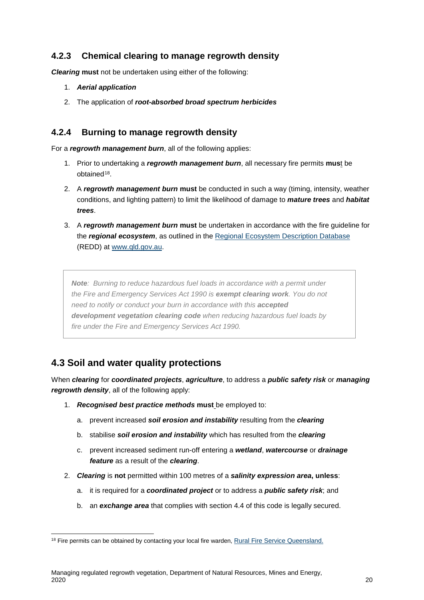### <span id="page-21-0"></span>**4.2.3 Chemical clearing to manage regrowth density**

*Clearing* **must** not be undertaken using either of the following:

- 1. *Aerial application*
- 2. The application of *root-absorbed broad spectrum herbicides*

### <span id="page-21-1"></span>**4.2.4 Burning to manage regrowth density**

For a *regrowth management burn*, all of the following applies:

- 1. Prior to undertaking a *regrowth management burn*, all necessary fire permits **mus**t be obtained<sup>[18](#page-21-4)</sup>.
- 2. A *regrowth management burn* **must** be conducted in such a way (timing, intensity, weather conditions, and lighting pattern) to limit the likelihood of damage to *mature trees* and *habitat trees*.
- 3. A *regrowth management burn* **must** be undertaken in accordance with the fire guideline for the *regional ecosystem*, as outlined in the [Regional Ecosystem Description Database](http://www.qld.gov.au/environment/plants-animals/plants/ecosystems/download/) (REDD) at [www.qld.gov.au.](http://www.qld.gov.au/)

*Note: Burning to reduce hazardous fuel loads in accordance with a permit under the Fire and Emergency Services Act 1990 is exempt clearing work. You do not need to notify or conduct your burn in accordance with this accepted development vegetation clearing code when reducing hazardous fuel loads by fire under the Fire and Emergency Services Act 1990.* 

## <span id="page-21-3"></span><span id="page-21-2"></span>**4.3 Soil and water quality protections**

When *clearing* for *coordinated projects*, *agriculture*, to address a *public safety risk* or *managing regrowth density*, all of the following apply:

- 1. *Recognised best practice methods* **must** be employed to:
	- a. prevent increased *soil erosion and instability* resulting from the *clearing*
	- b. stabilise *soil erosion and instability* which has resulted from the *clearing*
	- c. prevent increased sediment run-off entering a *wetland*, *watercourse* or *drainage feature* as a result of the *clearing*.
- 2. *Clearing* is **not** permitted within 100 metres of a *salinity expression area***, unless**:
	- a. it is required for a *coordinated project* or to address a *public safety risk*; and
	- b. an *exchange area* that complies with section 4.4 of this code is legally secured.

<span id="page-21-4"></span><sup>&</sup>lt;sup>18</sup> Fire permits can be obtained by contacting your local fire warden[, Rural Fire Service Queensland.](https://www.ruralfire.qld.gov.au/Pages/Home.aspx)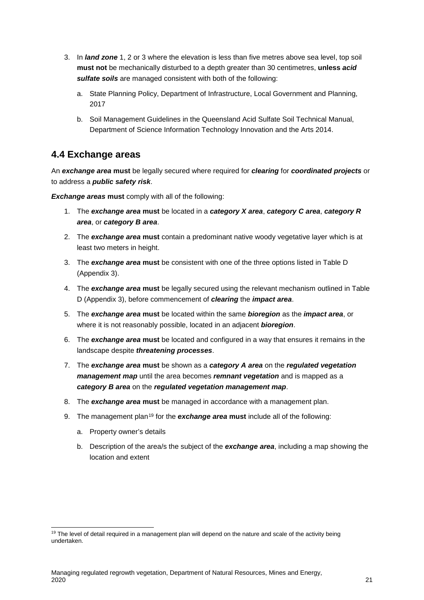- 3. In *land zone* 1, 2 or 3 where the elevation is less than five metres above sea level, top soil **must not** be mechanically disturbed to a depth greater than 30 centimetres, **unless** *acid sulfate soils* are managed consistent with both of the following:
	- a. State Planning Policy, Department of Infrastructure, Local Government and Planning, 2017
	- b. Soil Management Guidelines in the Queensland Acid Sulfate Soil Technical Manual, Department of Science Information Technology Innovation and the Arts 2014.

### <span id="page-22-0"></span>**4.4 Exchange areas**

An *exchange area* **must** be legally secured where required for *clearing* for *coordinated projects* or to address a *public safety risk*.

**Exchange areas must** comply with all of the following:

- 1. The *exchange area* **must** be located in a *category X area*, *category C area*, *category R area*, or *category B area*.
- 2. The *exchange area* **must** contain a predominant native woody vegetative layer which is at least two meters in height.
- 3. The *exchange area* **must** be consistent with one of the three options listed in Table D (Appendix 3).
- 4. The *exchange area* **must** be legally secured using the relevant mechanism outlined in Table D (Appendix 3), before commencement of *clearing* the *impact area*.
- 5. The *exchange area* **must** be located within the same *bioregion* as the *impact area*, or where it is not reasonably possible, located in an adjacent *bioregion*.
- 6. The *exchange area* **must** be located and configured in a way that ensures it remains in the landscape despite *threatening processes*.
- 7. The *exchange area* **must** be shown as a *category A area* on the *regulated vegetation management map* until the area becomes *remnant vegetation* and is mapped as a *category B area* on the *regulated vegetation management map*.
- 8. The *exchange area* **must** be managed in accordance with a management plan.
- 9. The management plan[19](#page-22-1) for the *exchange area* **must** include all of the following:
	- a. Property owner's details
	- b. Description of the area/s the subject of the *exchange area*, including a map showing the location and extent

<span id="page-22-1"></span><sup>&</sup>lt;sup>19</sup> The level of detail required in a management plan will depend on the nature and scale of the activity being undertaken.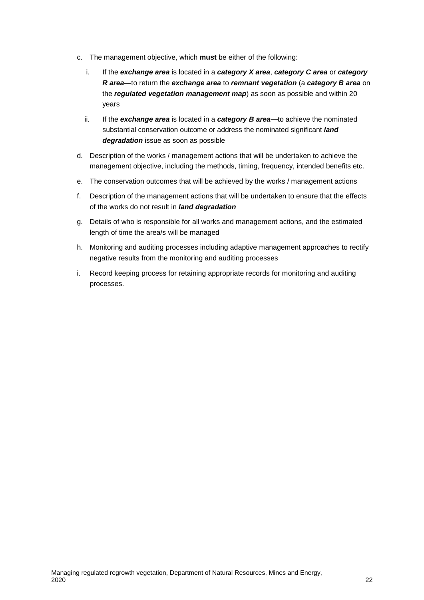- c. The management objective, which **must** be either of the following:
	- i. If the *exchange area* is located in a *category X area*, *category C area* or *category R area***—**to return the *exchange area* to *remnant vegetation* (a *category B area* on the *regulated vegetation management map*) as soon as possible and within 20 years
	- ii. If the *exchange area* is located in a *category B area***—**to achieve the nominated substantial conservation outcome or address the nominated significant *land degradation* issue as soon as possible
- d. Description of the works / management actions that will be undertaken to achieve the management objective, including the methods, timing, frequency, intended benefits etc.
- e. The conservation outcomes that will be achieved by the works / management actions
- f. Description of the management actions that will be undertaken to ensure that the effects of the works do not result in *land degradation*
- g. Details of who is responsible for all works and management actions, and the estimated length of time the area/s will be managed
- h. Monitoring and auditing processes including adaptive management approaches to rectify negative results from the monitoring and auditing processes
- i. Record keeping process for retaining appropriate records for monitoring and auditing processes.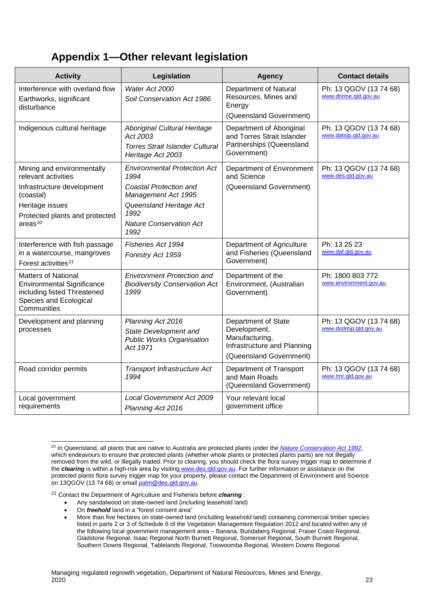## <span id="page-24-0"></span>**Appendix 1—Other relevant legislation**

| <b>Activity</b>                                                                                                                         | Legislation                                                                                             | <b>Agency</b>                                                                                                   | <b>Contact details</b>                          |
|-----------------------------------------------------------------------------------------------------------------------------------------|---------------------------------------------------------------------------------------------------------|-----------------------------------------------------------------------------------------------------------------|-------------------------------------------------|
| Interference with overland flow<br>Earthworks, significant<br>disturbance                                                               | Water Act 2000<br>Soil Conservation Act 1986                                                            | Department of Natural<br>Resources, Mines and<br>Energy<br>(Queensland Government)                              | Ph: 13 QGOV (13 74 68)<br>www.dnrme.qld.gov.au  |
| Indigenous cultural heritage                                                                                                            | Aboriginal Cultural Heritage<br>Act 2003<br><b>Torres Strait Islander Cultural</b><br>Heritage Act 2003 | Department of Aboriginal<br>and Torres Strait Islander<br>Partnerships (Queensland<br>Government)               | Ph. 13 QGOV (13 74 68)<br>www.datsip.qld.gov.au |
| Mining and environmentally<br>relevant activities<br>Infrastructure development<br>(coastal)                                            | <b>Environmental Protection Act</b><br>1994<br>Coastal Protection and<br>Management Act 1995            | Department of Environment<br>and Science<br>(Queensland Government)                                             | Ph: 13 QGOV (13 74 68)<br>www.des.qld.gov.au    |
| Heritage issues<br>Protected plants and protected<br>area <sup>20</sup>                                                                 | Queensland Heritage Act<br>1992<br><b>Nature Conservation Act</b><br>1992                               |                                                                                                                 |                                                 |
| Interference with fish passage<br>in a watercourse, mangroves<br>Forest activities <sup>21</sup>                                        | Fisheries Act 1994<br>Forestry Act 1959                                                                 | Department of Agriculture<br>and Fisheries (Queensland<br>Government)                                           | Ph: 13 25 23<br>www.daf.gld.gov.au              |
| <b>Matters of National</b><br><b>Environmental Significance</b><br>including listed Threatened<br>Species and Ecological<br>Communities | <b>Environment Protection and</b><br><b>Biodiversity Conservation Act</b><br>1999                       | Department of the<br>Environment, (Australian<br>Government)                                                    | Ph: 1800 803 772<br>www.environment.gov.au      |
| Development and planning<br>processes                                                                                                   | Planning Act 2016<br>State Development and<br><b>Public Works Organisation</b><br>Act 1971              | Department of State<br>Development,<br>Manufacturing,<br>Infrastructure and Planning<br>(Queensland Government) | Ph: 13 QGOV (13 74 68)<br>www.dsdmip.gld.gov.au |
| Road corridor permits                                                                                                                   | Transport Infrastructure Act<br>1994                                                                    | Department of Transport<br>and Main Roads<br>(Queensland Government)                                            | Ph: 13 QGOV (13 74 68)<br>www.tmr.qld.gov.au    |
| Local government<br>requirements                                                                                                        | <b>Local Government Act 2009</b><br>Planning Act 2016                                                   | Your relevant local<br>government office                                                                        |                                                 |

<span id="page-24-1"></span><sup>&</sup>lt;sup>20</sup> In Queensland, all plants that are native to Australia are protected plants under the *Nature Conservation Act 1992*, which endeavours to ensure that protected plants (whether whole plants or protected plants parts) are not illegally removed from the wild, or illegally traded. Prior to clearing, you should check the flora survey trigger map to determine if the *clearing* is within a high-risk area by visiting [www.des.qld.gov.au.](http://www.des.qld.gov.au/) For further information or assistance on the protected plants flora survey trigger map for your property, please contact the Department of Environment and Science on 13QGOV (13 74 68) or email [palm@des.qld.gov.au.](mailto:palm@des.qld.gov.au)

<span id="page-24-2"></span><sup>21</sup> Contact the Department of Agriculture and Fisheries before *clearing* :

- Any sandalwood on state-owned land (including leasehold land)
- On *freehold* land in a "forest consent area"
- More than five hectares on state-owned land (including leasehold land) containing commercial timber species listed in parts 2 or 3 of Schedule 6 of the Vegetation Management Regulation 2012 and located within any of the following local government management area – Banana, Bundaberg Regional, Fraser Coast Regional, Gladstone Regional, Isaac Regional North Burnett Regional, Somerset Regional, South Burnett Regional, Southern Downs Regional, Tablelands Regional, Toowoomba Regional, Western Downs Regional.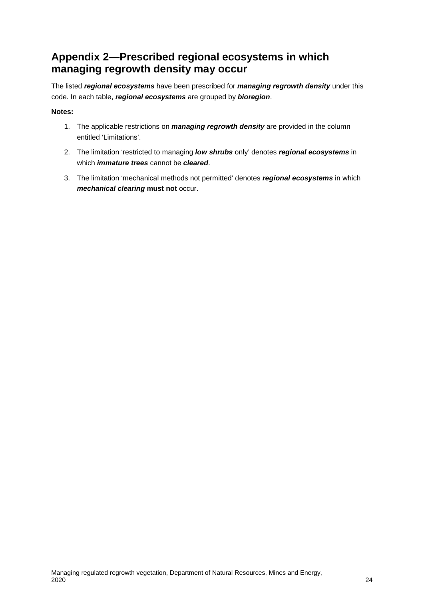## <span id="page-25-0"></span>**Appendix 2—Prescribed regional ecosystems in which managing regrowth density may occur**

The listed *regional ecosystems* have been prescribed for *managing regrowth density* under this code. In each table, *regional ecosystems* are grouped by *bioregion*.

#### **Notes:**

- 1. The applicable restrictions on *managing regrowth density* are provided in the column entitled 'Limitations'.
- 2. The limitation 'restricted to managing *low shrubs* only' denotes *regional ecosystems* in which *immature trees* cannot be *cleared*.
- 3. The limitation 'mechanical methods not permitted' denotes *regional ecosystems* in which *mechanical clearing* **must not** occur.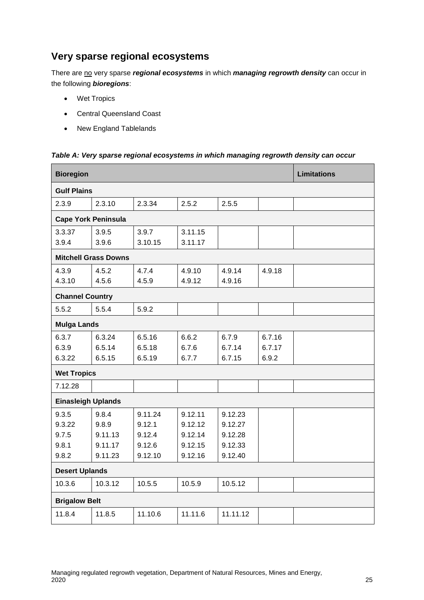## **Very sparse regional ecosystems**

There are no very sparse *regional ecosystems* in which *managing regrowth density* can occur in the following *bioregions*:

- Wet Tropics
- Central Queensland Coast
- New England Tablelands

| <b>Bioregion</b>           |                             |         |         |          |        | <b>Limitations</b> |
|----------------------------|-----------------------------|---------|---------|----------|--------|--------------------|
| <b>Gulf Plains</b>         |                             |         |         |          |        |                    |
| 2.3.9                      | 2.3.10                      | 2.3.34  | 2.5.2   | 2.5.5    |        |                    |
| <b>Cape York Peninsula</b> |                             |         |         |          |        |                    |
| 3.3.37                     | 3.9.5                       | 3.9.7   | 3.11.15 |          |        |                    |
| 3.9.4                      | 3.9.6                       | 3.10.15 | 3.11.17 |          |        |                    |
|                            | <b>Mitchell Grass Downs</b> |         |         |          |        |                    |
| 4.3.9                      | 4.5.2                       | 4.7.4   | 4.9.10  | 4.9.14   | 4.9.18 |                    |
| 4.3.10                     | 4.5.6                       | 4.5.9   | 4.9.12  | 4.9.16   |        |                    |
| <b>Channel Country</b>     |                             |         |         |          |        |                    |
| 5.5.2                      | 5.5.4                       | 5.9.2   |         |          |        |                    |
| <b>Mulga Lands</b>         |                             |         |         |          |        |                    |
| 6.3.7                      | 6.3.24                      | 6.5.16  | 6.6.2   | 6.7.9    | 6.7.16 |                    |
| 6.3.9                      | 6.5.14                      | 6.5.18  | 6.7.6   | 6.7.14   | 6.7.17 |                    |
| 6.3.22                     | 6.5.15                      | 6.5.19  | 6.7.7   | 6.7.15   | 6.9.2  |                    |
| <b>Wet Tropics</b>         |                             |         |         |          |        |                    |
| 7.12.28                    |                             |         |         |          |        |                    |
| <b>Einasleigh Uplands</b>  |                             |         |         |          |        |                    |
| 9.3.5                      | 9.8.4                       | 9.11.24 | 9.12.11 | 9.12.23  |        |                    |
| 9.3.22                     | 9.8.9                       | 9.12.1  | 9.12.12 | 9.12.27  |        |                    |
| 9.7.5                      | 9.11.13                     | 9.12.4  | 9.12.14 | 9.12.28  |        |                    |
| 9.8.1                      | 9.11.17                     | 9.12.6  | 9.12.15 | 9.12.33  |        |                    |
| 9.8.2                      | 9.11.23                     | 9.12.10 | 9.12.16 | 9.12.40  |        |                    |
| <b>Desert Uplands</b>      |                             |         |         |          |        |                    |
| 10.3.6                     | 10.3.12                     | 10.5.5  | 10.5.9  | 10.5.12  |        |                    |
| <b>Brigalow Belt</b>       |                             |         |         |          |        |                    |
| 11.8.4                     | 11.8.5                      | 11.10.6 | 11.11.6 | 11.11.12 |        |                    |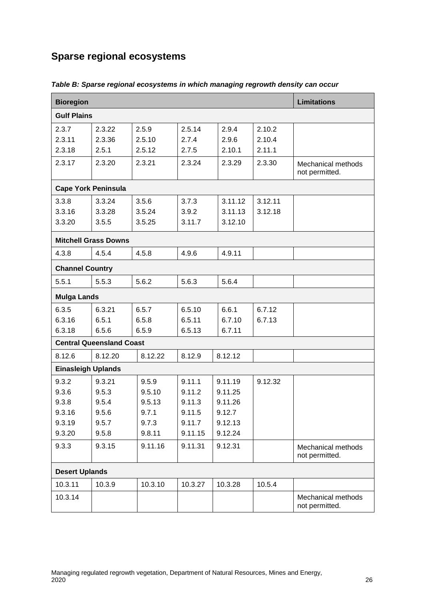## **Sparse regional ecosystems**

| <b>Bioregion</b>                                      |                                                     |                                                       |                                                           |                                                               |                            | <b>Limitations</b>                   |  |
|-------------------------------------------------------|-----------------------------------------------------|-------------------------------------------------------|-----------------------------------------------------------|---------------------------------------------------------------|----------------------------|--------------------------------------|--|
| <b>Gulf Plains</b>                                    |                                                     |                                                       |                                                           |                                                               |                            |                                      |  |
| 2.3.7<br>2.3.11<br>2.3.18                             | 2.3.22<br>2.3.36<br>2.5.1                           | 2.5.9<br>2.5.10<br>2.5.12                             | 2.5.14<br>2.7.4<br>2.7.5                                  | 2.9.4<br>2.9.6<br>2.10.1                                      | 2.10.2<br>2.10.4<br>2.11.1 |                                      |  |
| 2.3.17                                                | 2.3.20                                              | 2.3.21                                                | 2.3.24                                                    | 2.3.29                                                        | 2.3.30                     | Mechanical methods<br>not permitted. |  |
| <b>Cape York Peninsula</b>                            |                                                     |                                                       |                                                           |                                                               |                            |                                      |  |
| 3.3.8<br>3.3.16<br>3.3.20                             | 3.3.24<br>3.3.28<br>3.5.5                           | 3.5.6<br>3.5.24<br>3.5.25                             | 3.7.3<br>3.9.2<br>3.11.7                                  | 3.11.12<br>3.11.13<br>3.12.10                                 | 3.12.11<br>3.12.18         |                                      |  |
|                                                       | <b>Mitchell Grass Downs</b>                         |                                                       |                                                           |                                                               |                            |                                      |  |
| 4.3.8                                                 | 4.5.4                                               | 4.5.8                                                 | 4.9.6                                                     | 4.9.11                                                        |                            |                                      |  |
| <b>Channel Country</b>                                |                                                     |                                                       |                                                           |                                                               |                            |                                      |  |
| 5.5.1                                                 | 5.5.3                                               | 5.6.2                                                 | 5.6.3                                                     | 5.6.4                                                         |                            |                                      |  |
| <b>Mulga Lands</b>                                    |                                                     |                                                       |                                                           |                                                               |                            |                                      |  |
| 6.3.5<br>6.3.16<br>6.3.18                             | 6.3.21<br>6.5.1<br>6.5.6                            | 6.5.7<br>6.5.8<br>6.5.9                               | 6.5.10<br>6.5.11<br>6.5.13                                | 6.6.1<br>6.7.10<br>6.7.11                                     | 6.7.12<br>6.7.13           |                                      |  |
|                                                       | <b>Central Queensland Coast</b>                     |                                                       |                                                           |                                                               |                            |                                      |  |
| 8.12.6                                                | 8.12.20                                             | 8.12.22                                               | 8.12.9                                                    | 8.12.12                                                       |                            |                                      |  |
| <b>Einasleigh Uplands</b>                             |                                                     |                                                       |                                                           |                                                               |                            |                                      |  |
| 9.3.2<br>9.3.6<br>9.3.8<br>9.3.16<br>9.3.19<br>9.3.20 | 9.3.21<br>9.5.3<br>9.5.4<br>9.5.6<br>9.5.7<br>9.5.8 | 9.5.9<br>9.5.10<br>9.5.13<br>9.7.1<br>9.7.3<br>9.8.11 | 9.11.1<br>9.11.2<br>9.11.3<br>9.11.5<br>9.11.7<br>9.11.15 | 9.11.19<br>9.11.25<br>9.11.26<br>9.12.7<br>9.12.13<br>9.12.24 | 9.12.32                    |                                      |  |
| 9.3.3                                                 | 9.3.15                                              | 9.11.16                                               | 9.11.31                                                   | 9.12.31                                                       |                            | Mechanical methods<br>not permitted. |  |
|                                                       | <b>Desert Uplands</b>                               |                                                       |                                                           |                                                               |                            |                                      |  |
| 10.3.11                                               | 10.3.9                                              | 10.3.10                                               | 10.3.27                                                   | 10.3.28                                                       | 10.5.4                     |                                      |  |
| 10.3.14                                               |                                                     |                                                       |                                                           |                                                               |                            | Mechanical methods<br>not permitted. |  |

*Table B: Sparse regional ecosystems in which managing regrowth density can occur*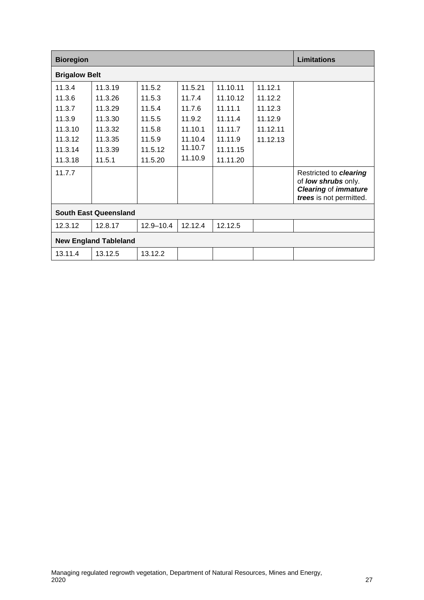| <b>Bioregion</b>             |                              |               |         | <b>Limitations</b> |          |                                                                                                                       |
|------------------------------|------------------------------|---------------|---------|--------------------|----------|-----------------------------------------------------------------------------------------------------------------------|
| <b>Brigalow Belt</b>         |                              |               |         |                    |          |                                                                                                                       |
| 11.3.4                       | 11.3.19                      | 11.5.2        | 11.5.21 | 11.10.11           | 11.12.1  |                                                                                                                       |
| 11.3.6                       | 11.3.26                      | 11.5.3        | 11.7.4  | 11.10.12           | 11.12.2  |                                                                                                                       |
| 11.3.7                       | 11.3.29                      | 11.5.4        | 11.7.6  | 11.11.1            | 11.12.3  |                                                                                                                       |
| 11.3.9                       | 11.3.30                      | 11.5.5        | 11.9.2  | 11.11.4            | 11.12.9  |                                                                                                                       |
| 11.3.10                      | 11.3.32                      | 11.5.8        | 11.10.1 | 11.11.7            | 11.12.11 |                                                                                                                       |
| 11.3.12                      | 11.3.35                      | 11.5.9        | 11.10.4 | 11.11.9            | 11.12.13 |                                                                                                                       |
| 11.3.14                      | 11.3.39                      | 11.5.12       | 11.10.7 | 11.11.15           |          |                                                                                                                       |
| 11.3.18                      | 11.5.1                       | 11.5.20       | 11.10.9 | 11.11.20           |          |                                                                                                                       |
| 11.7.7                       |                              |               |         |                    |          | Restricted to <i>clearing</i><br>of <b>low shrubs</b> only.<br><b>Clearing of immature</b><br>trees is not permitted. |
| <b>South East Queensland</b> |                              |               |         |                    |          |                                                                                                                       |
| 12.3.12                      | 12.8.17                      | $12.9 - 10.4$ | 12.12.4 | 12.12.5            |          |                                                                                                                       |
|                              | <b>New England Tableland</b> |               |         |                    |          |                                                                                                                       |
| 13.11.4                      | 13.12.5                      | 13.12.2       |         |                    |          |                                                                                                                       |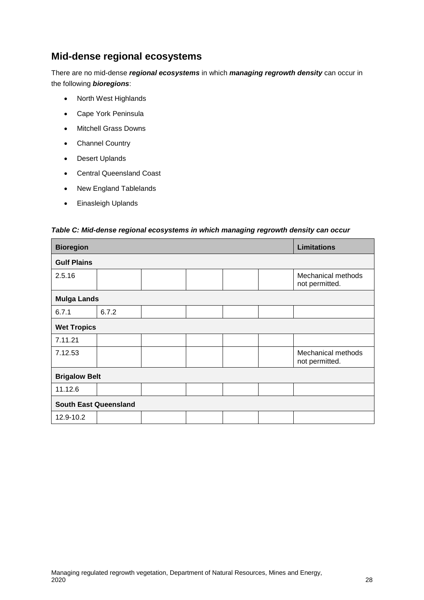## **Mid-dense regional ecosystems**

There are no mid-dense *regional ecosystems* in which *managing regrowth density* can occur in the following *bioregions*:

- North West Highlands
- Cape York Peninsula
- Mitchell Grass Downs
- Channel Country
- Desert Uplands
- Central Queensland Coast
- New England Tablelands
- Einasleigh Uplands

#### *Table C: Mid-dense regional ecosystems in which managing regrowth density can occur*

| <b>Bioregion</b>             |       |  |  | <b>Limitations</b> |  |                                      |
|------------------------------|-------|--|--|--------------------|--|--------------------------------------|
| <b>Gulf Plains</b>           |       |  |  |                    |  |                                      |
| 2.5.16                       |       |  |  |                    |  | Mechanical methods<br>not permitted. |
| <b>Mulga Lands</b>           |       |  |  |                    |  |                                      |
| 6.7.1                        | 6.7.2 |  |  |                    |  |                                      |
| <b>Wet Tropics</b>           |       |  |  |                    |  |                                      |
| 7.11.21                      |       |  |  |                    |  |                                      |
| 7.12.53                      |       |  |  |                    |  | Mechanical methods<br>not permitted. |
| <b>Brigalow Belt</b>         |       |  |  |                    |  |                                      |
| 11.12.6                      |       |  |  |                    |  |                                      |
| <b>South East Queensland</b> |       |  |  |                    |  |                                      |
| 12.9-10.2                    |       |  |  |                    |  |                                      |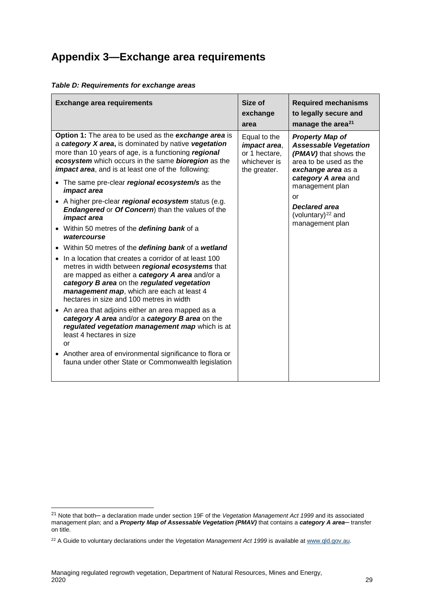## <span id="page-30-0"></span>**Appendix 3—Exchange area requirements**

| <b>Exchange area requirements</b>                                                                                                                                                                                                                                                                                                                            | Size of<br>exchange<br>area                                                   | <b>Required mechanisms</b><br>to legally secure and<br>manage the area <sup>21</sup>                                            |
|--------------------------------------------------------------------------------------------------------------------------------------------------------------------------------------------------------------------------------------------------------------------------------------------------------------------------------------------------------------|-------------------------------------------------------------------------------|---------------------------------------------------------------------------------------------------------------------------------|
| Option 1: The area to be used as the exchange area is<br>a category X area, is dominated by native vegetation<br>more than 10 years of age, is a functioning regional<br>ecosystem which occurs in the same bioregion as the<br><i>impact area,</i> and is at least one of the following:                                                                    | Equal to the<br>impact area,<br>or 1 hectare,<br>whichever is<br>the greater. | <b>Property Map of</b><br><b>Assessable Vegetation</b><br>(PMAV) that shows the<br>area to be used as the<br>exchange area as a |
| • The same pre-clear regional ecosystem/s as the<br>impact area<br>• A higher pre-clear regional ecosystem status (e.g.<br><b>Endangered or Of Concern</b> ) than the values of the                                                                                                                                                                          |                                                                               | category A area and<br>management plan<br>or<br><b>Declared area</b><br>(voluntary) $^{22}$ and                                 |
| <i>impact area</i><br>• Within 50 metres of the <b>defining bank</b> of a<br>watercourse                                                                                                                                                                                                                                                                     |                                                                               | management plan                                                                                                                 |
| • Within 50 metres of the defining bank of a wetland<br>In a location that creates a corridor of at least 100<br>metres in width between regional ecosystems that<br>are mapped as either a category A area and/or a<br>category B area on the regulated vegetation<br>management map, which are each at least 4<br>hectares in size and 100 metres in width |                                                                               |                                                                                                                                 |
| • An area that adjoins either an area mapped as a<br>category A area and/or a category B area on the<br>regulated vegetation management map which is at<br>least 4 hectares in size<br>or                                                                                                                                                                    |                                                                               |                                                                                                                                 |
| • Another area of environmental significance to flora or<br>fauna under other State or Commonwealth legislation                                                                                                                                                                                                                                              |                                                                               |                                                                                                                                 |

#### *Table D: Requirements for exchange areas*

<span id="page-30-1"></span> <sup>21</sup> Note that both─ a declaration made under section 19F of the *Vegetation Management Act 1999* and its associated management plan; and a *Property Map of Assessable Vegetation (PMAV)* that contains a *category A area*─ transfer on title.

<span id="page-30-2"></span><sup>&</sup>lt;sup>22</sup> A Guide to voluntary declarations under the *Vegetation Management Act 1999* is available at [www.qld.gov.au.](https://www.dnrm.qld.gov.au/__data/assets/pdf_file/0009/1258587/guide-voluntary-declarations-vegetation-act.pdf)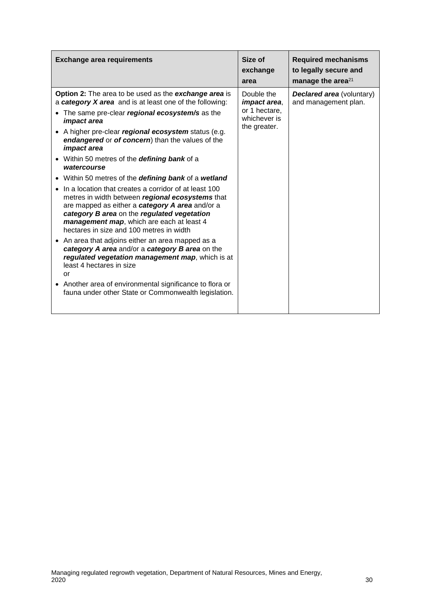| <b>Exchange area requirements</b>                                                                                                                                                                                                                                                                                                                                                                                                                                                                                                                                                                                                                                                                                                                                                                                                                                                                                                                                                                                                                                             | Size of<br>exchange<br>area                                                        | <b>Required mechanisms</b><br>to legally secure and<br>manage the area <sup>21</sup> |
|-------------------------------------------------------------------------------------------------------------------------------------------------------------------------------------------------------------------------------------------------------------------------------------------------------------------------------------------------------------------------------------------------------------------------------------------------------------------------------------------------------------------------------------------------------------------------------------------------------------------------------------------------------------------------------------------------------------------------------------------------------------------------------------------------------------------------------------------------------------------------------------------------------------------------------------------------------------------------------------------------------------------------------------------------------------------------------|------------------------------------------------------------------------------------|--------------------------------------------------------------------------------------|
| Option 2: The area to be used as the exchange area is<br>a category X area and is at least one of the following:<br>• The same pre-clear regional ecosystem/s as the<br><i>impact area</i><br>• A higher pre-clear regional ecosystem status (e.g.<br>endangered or of concern) than the values of the<br><i>impact area</i><br>• Within 50 metres of the defining bank of a<br>watercourse<br>• Within 50 metres of the defining bank of a wetland<br>In a location that creates a corridor of at least 100<br>metres in width between regional ecosystems that<br>are mapped as either a category A area and/or a<br>category B area on the regulated vegetation<br>management map, which are each at least 4<br>hectares in size and 100 metres in width<br>• An area that adjoins either an area mapped as a<br>category A area and/or a category B area on the<br>regulated vegetation management map, which is at<br>least 4 hectares in size<br>or<br>• Another area of environmental significance to flora or<br>fauna under other State or Commonwealth legislation. | Double the<br><i>impact area,</i><br>or 1 hectare,<br>whichever is<br>the greater. | <b>Declared area</b> (voluntary)<br>and management plan.                             |